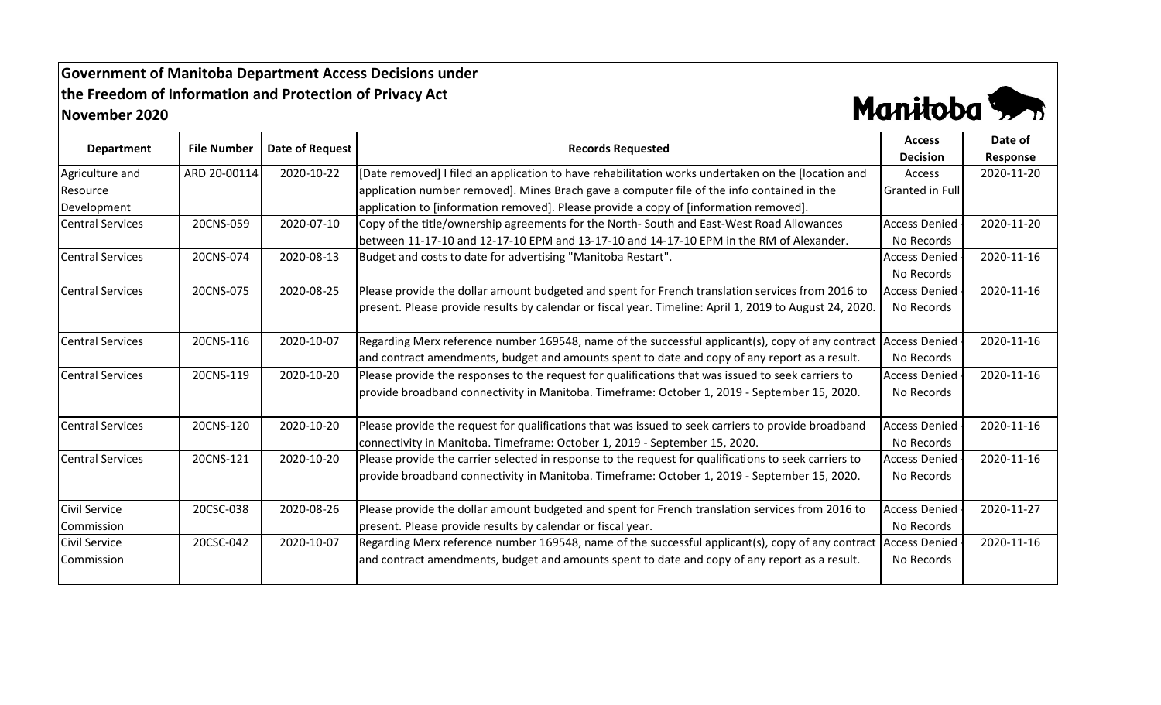## **Government of Manitoba Department Access Decisions under the Freedom of Information and Protection of Privacy Act November 2020**



| <b>Department</b>       | <b>File Number</b> | Date of Request | <b>Records Requested</b>                                                                                        | <b>Access</b>          | Date of    |
|-------------------------|--------------------|-----------------|-----------------------------------------------------------------------------------------------------------------|------------------------|------------|
|                         |                    |                 |                                                                                                                 | <b>Decision</b>        | Response   |
| Agriculture and         | ARD 20-00114       | 2020-10-22      | [Date removed] I filed an application to have rehabilitation works undertaken on the [location and              | Access                 | 2020-11-20 |
| Resource                |                    |                 | application number removed]. Mines Brach gave a computer file of the info contained in the                      | <b>Granted in Full</b> |            |
| Development             |                    |                 | application to [information removed]. Please provide a copy of [information removed].                           |                        |            |
| <b>Central Services</b> | 20CNS-059          | 2020-07-10      | Copy of the title/ownership agreements for the North-South and East-West Road Allowances                        | <b>Access Denied</b>   | 2020-11-20 |
|                         |                    |                 | between 11-17-10 and 12-17-10 EPM and 13-17-10 and 14-17-10 EPM in the RM of Alexander.                         | No Records             |            |
| <b>Central Services</b> | 20CNS-074          | 2020-08-13      | Budget and costs to date for advertising "Manitoba Restart".                                                    | <b>Access Denied</b>   | 2020-11-16 |
|                         |                    |                 |                                                                                                                 | No Records             |            |
| <b>Central Services</b> | 20CNS-075          | 2020-08-25      | Please provide the dollar amount budgeted and spent for French translation services from 2016 to                | <b>Access Denied</b>   | 2020-11-16 |
|                         |                    |                 | present. Please provide results by calendar or fiscal year. Timeline: April 1, 2019 to August 24, 2020.         | No Records             |            |
|                         |                    |                 |                                                                                                                 |                        |            |
| <b>Central Services</b> | 20CNS-116          | 2020-10-07      | Regarding Merx reference number 169548, name of the successful applicant(s), copy of any contract Access Denied |                        | 2020-11-16 |
|                         |                    |                 | and contract amendments, budget and amounts spent to date and copy of any report as a result.                   | No Records             |            |
| <b>Central Services</b> | 20CNS-119          | 2020-10-20      | Please provide the responses to the request for qualifications that was issued to seek carriers to              | <b>Access Denied</b>   | 2020-11-16 |
|                         |                    |                 | provide broadband connectivity in Manitoba. Timeframe: October 1, 2019 - September 15, 2020.                    | No Records             |            |
|                         |                    |                 |                                                                                                                 |                        |            |
| <b>Central Services</b> | 20CNS-120          | 2020-10-20      | Please provide the request for qualifications that was issued to seek carriers to provide broadband             | <b>Access Denied</b>   | 2020-11-16 |
|                         |                    |                 | connectivity in Manitoba. Timeframe: October 1, 2019 - September 15, 2020.                                      | No Records             |            |
| <b>Central Services</b> | 20CNS-121          | 2020-10-20      | Please provide the carrier selected in response to the request for qualifications to seek carriers to           | <b>Access Denied</b>   | 2020-11-16 |
|                         |                    |                 | provide broadband connectivity in Manitoba. Timeframe: October 1, 2019 - September 15, 2020.                    | No Records             |            |
|                         |                    |                 |                                                                                                                 |                        |            |
| <b>Civil Service</b>    | 20CSC-038          | 2020-08-26      | Please provide the dollar amount budgeted and spent for French translation services from 2016 to                | <b>Access Denied</b>   | 2020-11-27 |
| Commission              |                    |                 | present. Please provide results by calendar or fiscal year.                                                     | No Records             |            |
| <b>Civil Service</b>    | 20CSC-042          | 2020-10-07      | Regarding Merx reference number 169548, name of the successful applicant(s), copy of any contract               | <b>Access Denied</b>   | 2020-11-16 |
| Commission              |                    |                 | and contract amendments, budget and amounts spent to date and copy of any report as a result.                   | No Records             |            |
|                         |                    |                 |                                                                                                                 |                        |            |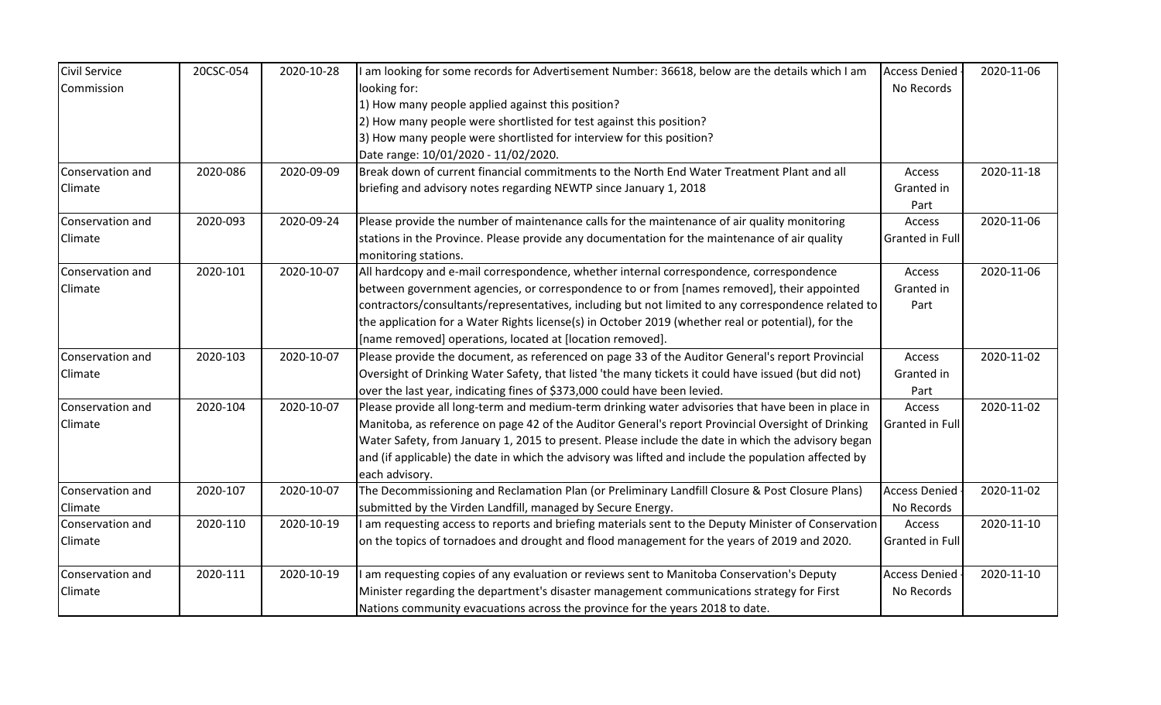| <b>Civil Service</b> | 20CSC-054 | 2020-10-28 | I am looking for some records for Advertisement Number: 36618, below are the details which I am      | <b>Access Denied</b>   | 2020-11-06 |
|----------------------|-----------|------------|------------------------------------------------------------------------------------------------------|------------------------|------------|
| Commission           |           |            | looking for:                                                                                         | No Records             |            |
|                      |           |            | 1) How many people applied against this position?                                                    |                        |            |
|                      |           |            | 2) How many people were shortlisted for test against this position?                                  |                        |            |
|                      |           |            | 3) How many people were shortlisted for interview for this position?                                 |                        |            |
|                      |           |            | Date range: 10/01/2020 - 11/02/2020.                                                                 |                        |            |
| Conservation and     | 2020-086  | 2020-09-09 | Break down of current financial commitments to the North End Water Treatment Plant and all           | Access                 | 2020-11-18 |
| Climate              |           |            | briefing and advisory notes regarding NEWTP since January 1, 2018                                    | Granted in             |            |
|                      |           |            |                                                                                                      | Part                   |            |
| Conservation and     | 2020-093  | 2020-09-24 | Please provide the number of maintenance calls for the maintenance of air quality monitoring         | Access                 | 2020-11-06 |
| Climate              |           |            | stations in the Province. Please provide any documentation for the maintenance of air quality        | Granted in Full        |            |
|                      |           |            | monitoring stations.                                                                                 |                        |            |
| Conservation and     | 2020-101  | 2020-10-07 | All hardcopy and e-mail correspondence, whether internal correspondence, correspondence              | Access                 | 2020-11-06 |
| Climate              |           |            | between government agencies, or correspondence to or from [names removed], their appointed           | Granted in             |            |
|                      |           |            | contractors/consultants/representatives, including but not limited to any correspondence related to  | Part                   |            |
|                      |           |            | the application for a Water Rights license(s) in October 2019 (whether real or potential), for the   |                        |            |
|                      |           |            | [name removed] operations, located at [location removed].                                            |                        |            |
| Conservation and     | 2020-103  | 2020-10-07 | Please provide the document, as referenced on page 33 of the Auditor General's report Provincial     | Access                 | 2020-11-02 |
| Climate              |           |            | Oversight of Drinking Water Safety, that listed 'the many tickets it could have issued (but did not) | Granted in             |            |
|                      |           |            | over the last year, indicating fines of \$373,000 could have been levied.                            | Part                   |            |
| Conservation and     | 2020-104  | 2020-10-07 | Please provide all long-term and medium-term drinking water advisories that have been in place in    | Access                 | 2020-11-02 |
| Climate              |           |            | Manitoba, as reference on page 42 of the Auditor General's report Provincial Oversight of Drinking   | <b>Granted in Full</b> |            |
|                      |           |            | Water Safety, from January 1, 2015 to present. Please include the date in which the advisory began   |                        |            |
|                      |           |            | and (if applicable) the date in which the advisory was lifted and include the population affected by |                        |            |
|                      |           |            | each advisory.                                                                                       |                        |            |
| Conservation and     | 2020-107  | 2020-10-07 | The Decommissioning and Reclamation Plan (or Preliminary Landfill Closure & Post Closure Plans)      | <b>Access Denied</b>   | 2020-11-02 |
| Climate              |           |            | submitted by the Virden Landfill, managed by Secure Energy.                                          | No Records             |            |
| Conservation and     | 2020-110  | 2020-10-19 | I am requesting access to reports and briefing materials sent to the Deputy Minister of Conservation | Access                 | 2020-11-10 |
| Climate              |           |            | on the topics of tornadoes and drought and flood management for the years of 2019 and 2020.          | Granted in Full        |            |
|                      |           |            |                                                                                                      |                        |            |
| Conservation and     | 2020-111  | 2020-10-19 | am requesting copies of any evaluation or reviews sent to Manitoba Conservation's Deputy             | <b>Access Denied</b>   | 2020-11-10 |
| Climate              |           |            | Minister regarding the department's disaster management communications strategy for First            | No Records             |            |
|                      |           |            | Nations community evacuations across the province for the years 2018 to date.                        |                        |            |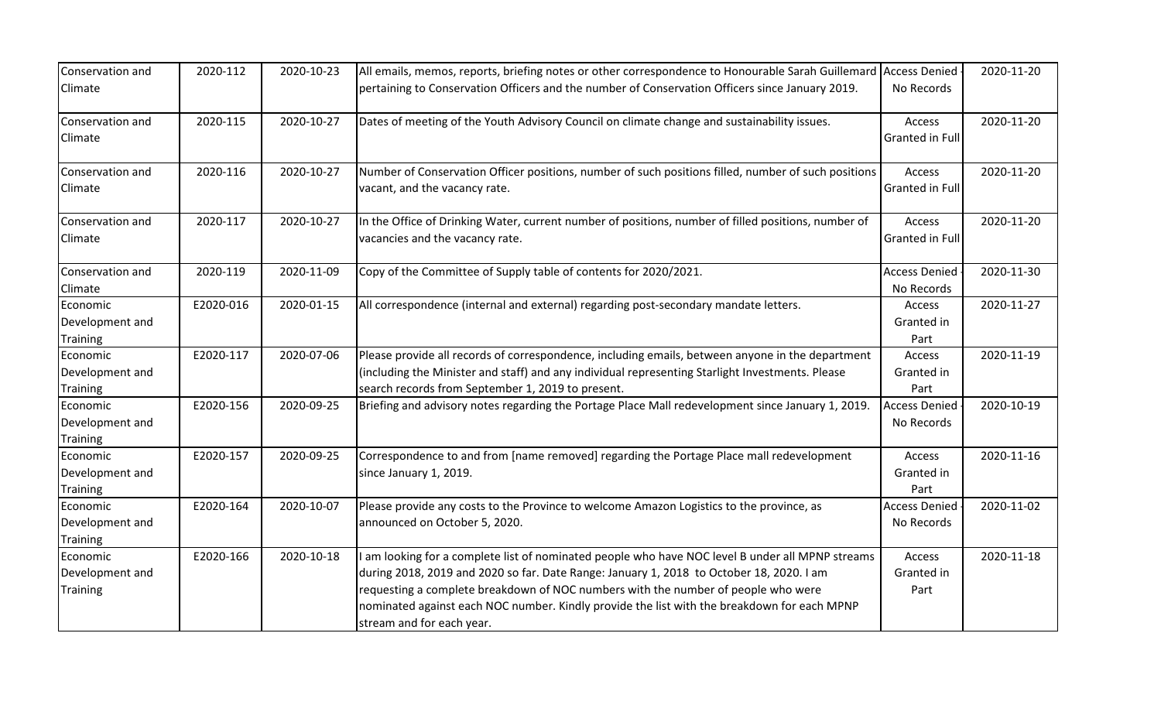| Conservation and                               | 2020-112  | 2020-10-23 | All emails, memos, reports, briefing notes or other correspondence to Honourable Sarah Guillemard                                                                                                                                                                                                                                                                                                           | <b>Access Denied</b>               | 2020-11-20 |
|------------------------------------------------|-----------|------------|-------------------------------------------------------------------------------------------------------------------------------------------------------------------------------------------------------------------------------------------------------------------------------------------------------------------------------------------------------------------------------------------------------------|------------------------------------|------------|
| Climate                                        |           |            | pertaining to Conservation Officers and the number of Conservation Officers since January 2019.                                                                                                                                                                                                                                                                                                             | No Records                         |            |
| Conservation and<br>Climate                    | 2020-115  | 2020-10-27 | Dates of meeting of the Youth Advisory Council on climate change and sustainability issues.                                                                                                                                                                                                                                                                                                                 | Access<br>Granted in Full          | 2020-11-20 |
| Conservation and<br>Climate                    | 2020-116  | 2020-10-27 | Number of Conservation Officer positions, number of such positions filled, number of such positions<br>vacant, and the vacancy rate.                                                                                                                                                                                                                                                                        | Access<br>Granted in Full          | 2020-11-20 |
| Conservation and<br>Climate                    | 2020-117  | 2020-10-27 | In the Office of Drinking Water, current number of positions, number of filled positions, number of<br>vacancies and the vacancy rate.                                                                                                                                                                                                                                                                      | Access<br>Granted in Full          | 2020-11-20 |
| Conservation and<br>Climate                    | 2020-119  | 2020-11-09 | Copy of the Committee of Supply table of contents for 2020/2021.                                                                                                                                                                                                                                                                                                                                            | <b>Access Denied</b><br>No Records | 2020-11-30 |
| Economic<br>Development and<br><b>Training</b> | E2020-016 | 2020-01-15 | All correspondence (internal and external) regarding post-secondary mandate letters.                                                                                                                                                                                                                                                                                                                        | Access<br>Granted in<br>Part       | 2020-11-27 |
| Economic<br>Development and<br><b>Training</b> | E2020-117 | 2020-07-06 | Please provide all records of correspondence, including emails, between anyone in the department<br>(including the Minister and staff) and any individual representing Starlight Investments. Please<br>search records from September 1, 2019 to present.                                                                                                                                                   | Access<br>Granted in<br>Part       | 2020-11-19 |
| Economic<br>Development and<br><b>Training</b> | E2020-156 | 2020-09-25 | Briefing and advisory notes regarding the Portage Place Mall redevelopment since January 1, 2019.                                                                                                                                                                                                                                                                                                           | <b>Access Denied</b><br>No Records | 2020-10-19 |
| Economic<br>Development and<br><b>Training</b> | E2020-157 | 2020-09-25 | Correspondence to and from [name removed] regarding the Portage Place mall redevelopment<br>since January 1, 2019.                                                                                                                                                                                                                                                                                          | Access<br>Granted in<br>Part       | 2020-11-16 |
| Economic<br>Development and<br><b>Training</b> | E2020-164 | 2020-10-07 | Please provide any costs to the Province to welcome Amazon Logistics to the province, as<br>announced on October 5, 2020.                                                                                                                                                                                                                                                                                   | <b>Access Denied</b><br>No Records | 2020-11-02 |
| Economic<br>Development and<br><b>Training</b> | E2020-166 | 2020-10-18 | am looking for a complete list of nominated people who have NOC level B under all MPNP streams<br>during 2018, 2019 and 2020 so far. Date Range: January 1, 2018 to October 18, 2020. I am<br>requesting a complete breakdown of NOC numbers with the number of people who were<br>nominated against each NOC number. Kindly provide the list with the breakdown for each MPNP<br>stream and for each year. | Access<br>Granted in<br>Part       | 2020-11-18 |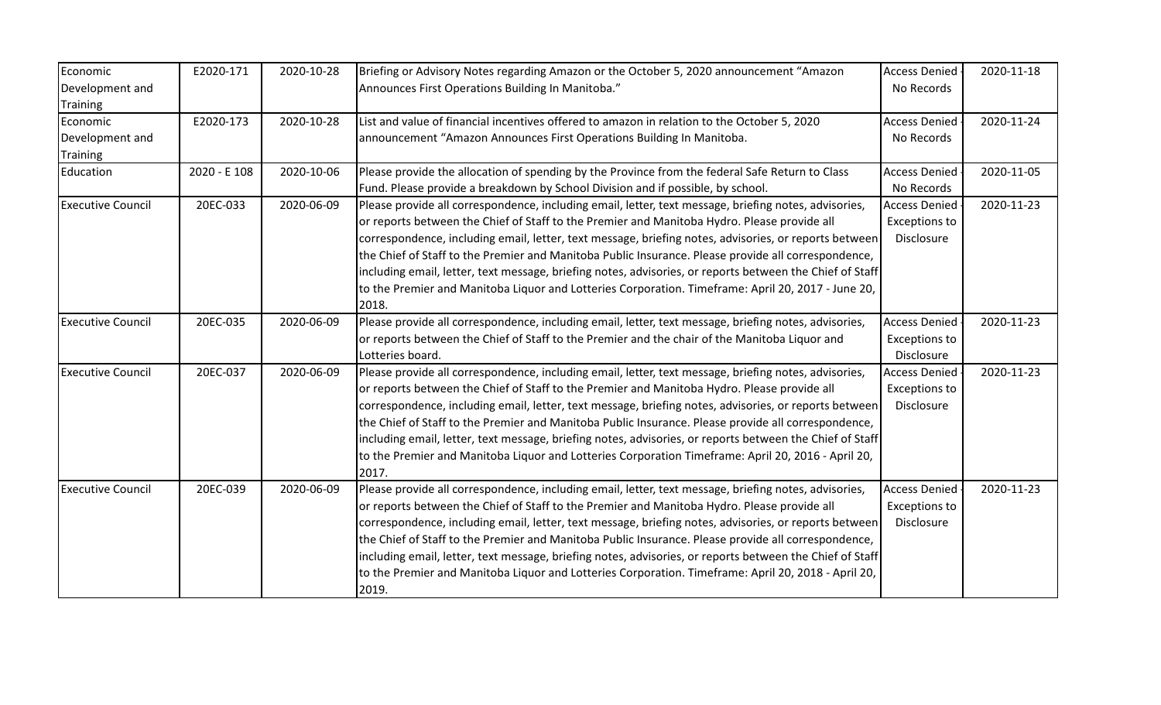| Economic                 | E2020-171    | 2020-10-28 | Briefing or Advisory Notes regarding Amazon or the October 5, 2020 announcement "Amazon                  | <b>Access Denied</b> | 2020-11-18 |
|--------------------------|--------------|------------|----------------------------------------------------------------------------------------------------------|----------------------|------------|
| Development and          |              |            | Announces First Operations Building In Manitoba."                                                        | No Records           |            |
| <b>Training</b>          |              |            |                                                                                                          |                      |            |
| Economic                 | E2020-173    | 2020-10-28 | List and value of financial incentives offered to amazon in relation to the October 5, 2020              | <b>Access Denied</b> | 2020-11-24 |
| Development and          |              |            | announcement "Amazon Announces First Operations Building In Manitoba.                                    | No Records           |            |
| <b>Training</b>          |              |            |                                                                                                          |                      |            |
| Education                | 2020 - E 108 | 2020-10-06 | Please provide the allocation of spending by the Province from the federal Safe Return to Class          | <b>Access Denied</b> | 2020-11-05 |
|                          |              |            | Fund. Please provide a breakdown by School Division and if possible, by school.                          | No Records           |            |
| <b>Executive Council</b> | 20EC-033     | 2020-06-09 | Please provide all correspondence, including email, letter, text message, briefing notes, advisories,    | <b>Access Denied</b> | 2020-11-23 |
|                          |              |            | or reports between the Chief of Staff to the Premier and Manitoba Hydro. Please provide all              | <b>Exceptions to</b> |            |
|                          |              |            | correspondence, including email, letter, text message, briefing notes, advisories, or reports between    | Disclosure           |            |
|                          |              |            | the Chief of Staff to the Premier and Manitoba Public Insurance. Please provide all correspondence,      |                      |            |
|                          |              |            | including email, letter, text message, briefing notes, advisories, or reports between the Chief of Staff |                      |            |
|                          |              |            | to the Premier and Manitoba Liquor and Lotteries Corporation. Timeframe: April 20, 2017 - June 20,       |                      |            |
|                          |              |            | 2018.                                                                                                    |                      |            |
| <b>Executive Council</b> | 20EC-035     | 2020-06-09 | Please provide all correspondence, including email, letter, text message, briefing notes, advisories,    | <b>Access Denied</b> | 2020-11-23 |
|                          |              |            | or reports between the Chief of Staff to the Premier and the chair of the Manitoba Liquor and            | <b>Exceptions to</b> |            |
|                          |              |            | Lotteries board.                                                                                         | Disclosure           |            |
| <b>Executive Council</b> | 20EC-037     | 2020-06-09 | Please provide all correspondence, including email, letter, text message, briefing notes, advisories,    | <b>Access Denied</b> | 2020-11-23 |
|                          |              |            | or reports between the Chief of Staff to the Premier and Manitoba Hydro. Please provide all              | <b>Exceptions to</b> |            |
|                          |              |            | correspondence, including email, letter, text message, briefing notes, advisories, or reports between    | Disclosure           |            |
|                          |              |            | the Chief of Staff to the Premier and Manitoba Public Insurance. Please provide all correspondence,      |                      |            |
|                          |              |            | including email, letter, text message, briefing notes, advisories, or reports between the Chief of Staff |                      |            |
|                          |              |            | to the Premier and Manitoba Liquor and Lotteries Corporation Timeframe: April 20, 2016 - April 20,       |                      |            |
|                          |              |            | 2017.                                                                                                    |                      |            |
| <b>Executive Council</b> | 20EC-039     | 2020-06-09 | Please provide all correspondence, including email, letter, text message, briefing notes, advisories,    | <b>Access Denied</b> | 2020-11-23 |
|                          |              |            | or reports between the Chief of Staff to the Premier and Manitoba Hydro. Please provide all              | <b>Exceptions to</b> |            |
|                          |              |            | correspondence, including email, letter, text message, briefing notes, advisories, or reports between    | Disclosure           |            |
|                          |              |            | the Chief of Staff to the Premier and Manitoba Public Insurance. Please provide all correspondence,      |                      |            |
|                          |              |            | including email, letter, text message, briefing notes, advisories, or reports between the Chief of Staff |                      |            |
|                          |              |            | to the Premier and Manitoba Liquor and Lotteries Corporation. Timeframe: April 20, 2018 - April 20,      |                      |            |
|                          |              |            | 2019.                                                                                                    |                      |            |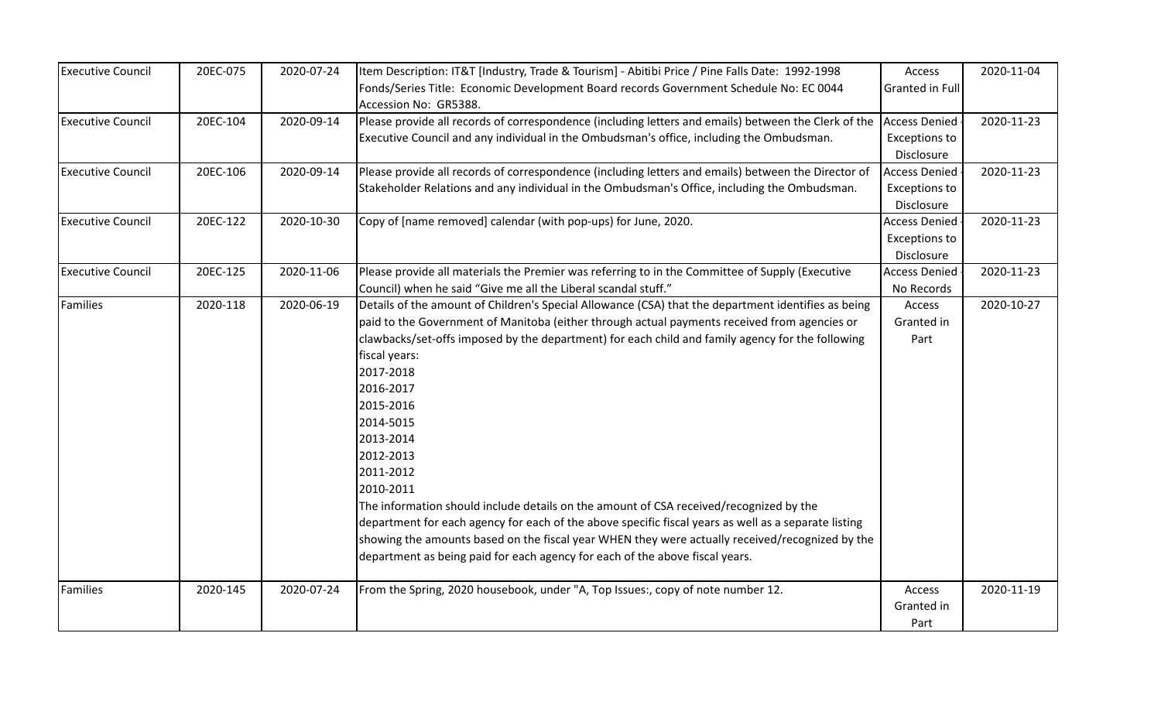| <b>Executive Council</b> | 20EC-075 | 2020-07-24 | Item Description: IT&T [Industry, Trade & Tourism] - Abitibi Price / Pine Falls Date: 1992-1998                 | Access                 | 2020-11-04 |
|--------------------------|----------|------------|-----------------------------------------------------------------------------------------------------------------|------------------------|------------|
|                          |          |            | Fonds/Series Title: Economic Development Board records Government Schedule No: EC 0044<br>Accession No: GR5388. | <b>Granted in Full</b> |            |
| <b>Executive Council</b> | 20EC-104 | 2020-09-14 | Please provide all records of correspondence (including letters and emails) between the Clerk of the            | <b>Access Denied</b>   | 2020-11-23 |
|                          |          |            | Executive Council and any individual in the Ombudsman's office, including the Ombudsman.                        | <b>Exceptions to</b>   |            |
|                          |          |            |                                                                                                                 | Disclosure             |            |
| <b>Executive Council</b> | 20EC-106 | 2020-09-14 | Please provide all records of correspondence (including letters and emails) between the Director of             | <b>Access Denied</b>   | 2020-11-23 |
|                          |          |            | Stakeholder Relations and any individual in the Ombudsman's Office, including the Ombudsman.                    | <b>Exceptions to</b>   |            |
|                          |          |            |                                                                                                                 | Disclosure             |            |
| <b>Executive Council</b> | 20EC-122 | 2020-10-30 | Copy of [name removed] calendar (with pop-ups) for June, 2020.                                                  | <b>Access Denied</b>   | 2020-11-23 |
|                          |          |            |                                                                                                                 | <b>Exceptions to</b>   |            |
|                          |          |            |                                                                                                                 | Disclosure             |            |
| <b>Executive Council</b> | 20EC-125 | 2020-11-06 | Please provide all materials the Premier was referring to in the Committee of Supply (Executive                 | <b>Access Denied</b>   | 2020-11-23 |
|                          |          |            | Council) when he said "Give me all the Liberal scandal stuff."                                                  | No Records             |            |
| Families                 | 2020-118 | 2020-06-19 | Details of the amount of Children's Special Allowance (CSA) that the department identifies as being             | Access                 | 2020-10-27 |
|                          |          |            | paid to the Government of Manitoba (either through actual payments received from agencies or                    | Granted in             |            |
|                          |          |            | clawbacks/set-offs imposed by the department) for each child and family agency for the following                | Part                   |            |
|                          |          |            | fiscal years:                                                                                                   |                        |            |
|                          |          |            | 2017-2018                                                                                                       |                        |            |
|                          |          |            | 2016-2017                                                                                                       |                        |            |
|                          |          |            | 2015-2016                                                                                                       |                        |            |
|                          |          |            | 2014-5015                                                                                                       |                        |            |
|                          |          |            | 2013-2014                                                                                                       |                        |            |
|                          |          |            | 2012-2013                                                                                                       |                        |            |
|                          |          |            | 2011-2012                                                                                                       |                        |            |
|                          |          |            | 2010-2011                                                                                                       |                        |            |
|                          |          |            | The information should include details on the amount of CSA received/recognized by the                          |                        |            |
|                          |          |            | department for each agency for each of the above specific fiscal years as well as a separate listing            |                        |            |
|                          |          |            | showing the amounts based on the fiscal year WHEN they were actually received/recognized by the                 |                        |            |
|                          |          |            | department as being paid for each agency for each of the above fiscal years.                                    |                        |            |
| Families                 | 2020-145 | 2020-07-24 | From the Spring, 2020 housebook, under "A, Top Issues:, copy of note number 12.                                 | Access                 | 2020-11-19 |
|                          |          |            |                                                                                                                 | Granted in             |            |
|                          |          |            |                                                                                                                 | Part                   |            |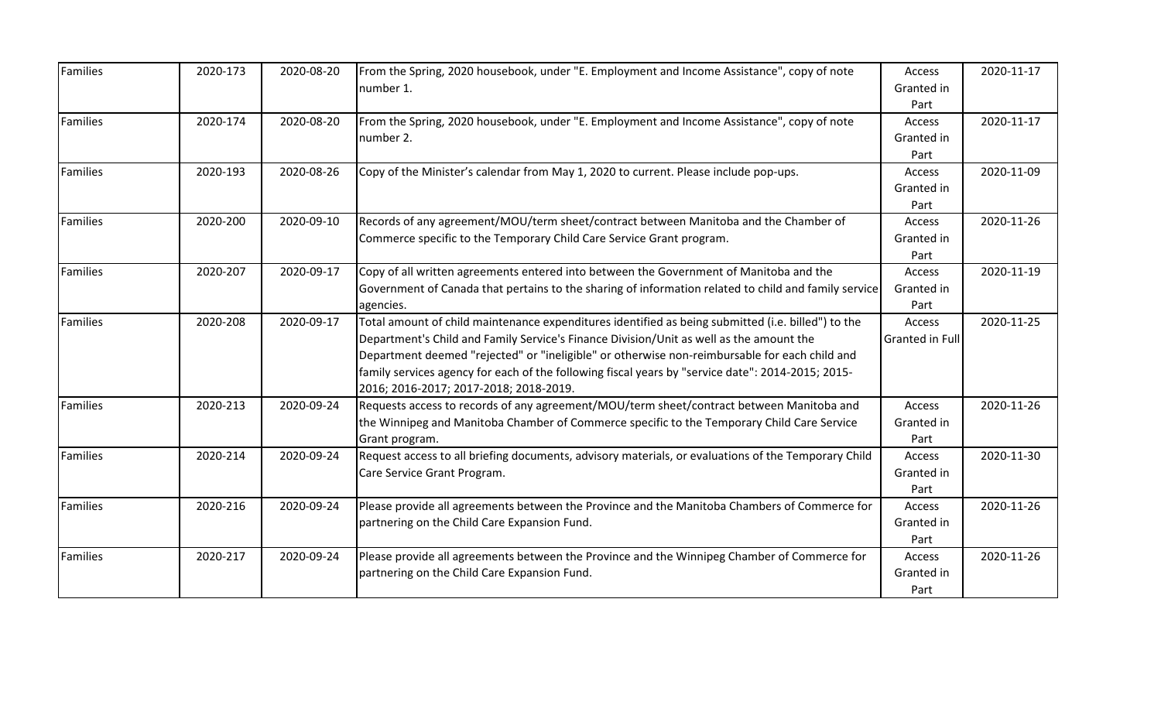| Families        | 2020-173 | 2020-08-20 | From the Spring, 2020 housebook, under "E. Employment and Income Assistance", copy of note<br>number 1.                                                                                                                                                                                                                                                                                                                                       | Access<br>Granted in<br>Part | 2020-11-17 |
|-----------------|----------|------------|-----------------------------------------------------------------------------------------------------------------------------------------------------------------------------------------------------------------------------------------------------------------------------------------------------------------------------------------------------------------------------------------------------------------------------------------------|------------------------------|------------|
| Families        | 2020-174 | 2020-08-20 | From the Spring, 2020 housebook, under "E. Employment and Income Assistance", copy of note<br>number 2.                                                                                                                                                                                                                                                                                                                                       | Access<br>Granted in<br>Part | 2020-11-17 |
| Families        | 2020-193 | 2020-08-26 | Copy of the Minister's calendar from May 1, 2020 to current. Please include pop-ups.                                                                                                                                                                                                                                                                                                                                                          | Access<br>Granted in<br>Part | 2020-11-09 |
| <b>Families</b> | 2020-200 | 2020-09-10 | Records of any agreement/MOU/term sheet/contract between Manitoba and the Chamber of<br>Commerce specific to the Temporary Child Care Service Grant program.                                                                                                                                                                                                                                                                                  | Access<br>Granted in<br>Part | 2020-11-26 |
| <b>Families</b> | 2020-207 | 2020-09-17 | Copy of all written agreements entered into between the Government of Manitoba and the<br>Government of Canada that pertains to the sharing of information related to child and family service<br>agencies.                                                                                                                                                                                                                                   | Access<br>Granted in<br>Part | 2020-11-19 |
| <b>Families</b> | 2020-208 | 2020-09-17 | Total amount of child maintenance expenditures identified as being submitted (i.e. billed") to the<br>Department's Child and Family Service's Finance Division/Unit as well as the amount the<br>Department deemed "rejected" or "ineligible" or otherwise non-reimbursable for each child and<br>family services agency for each of the following fiscal years by "service date": 2014-2015; 2015-<br>2016; 2016-2017; 2017-2018; 2018-2019. | Access<br>Granted in Full    | 2020-11-25 |
| Families        | 2020-213 | 2020-09-24 | Requests access to records of any agreement/MOU/term sheet/contract between Manitoba and<br>the Winnipeg and Manitoba Chamber of Commerce specific to the Temporary Child Care Service<br>Grant program.                                                                                                                                                                                                                                      | Access<br>Granted in<br>Part | 2020-11-26 |
| Families        | 2020-214 | 2020-09-24 | Request access to all briefing documents, advisory materials, or evaluations of the Temporary Child<br>Care Service Grant Program.                                                                                                                                                                                                                                                                                                            | Access<br>Granted in<br>Part | 2020-11-30 |
| Families        | 2020-216 | 2020-09-24 | Please provide all agreements between the Province and the Manitoba Chambers of Commerce for<br>partnering on the Child Care Expansion Fund.                                                                                                                                                                                                                                                                                                  | Access<br>Granted in<br>Part | 2020-11-26 |
| Families        | 2020-217 | 2020-09-24 | Please provide all agreements between the Province and the Winnipeg Chamber of Commerce for<br>partnering on the Child Care Expansion Fund.                                                                                                                                                                                                                                                                                                   | Access<br>Granted in<br>Part | 2020-11-26 |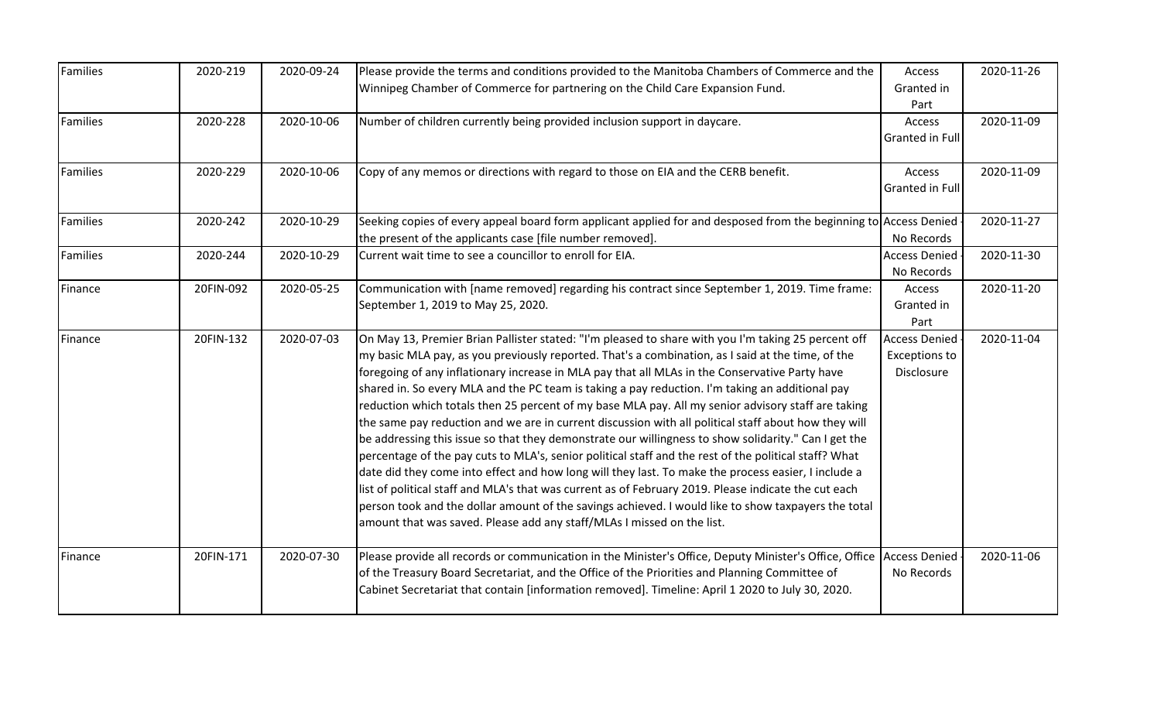| Families        | 2020-219  | 2020-09-24 | Please provide the terms and conditions provided to the Manitoba Chambers of Commerce and the                        | Access               | 2020-11-26 |
|-----------------|-----------|------------|----------------------------------------------------------------------------------------------------------------------|----------------------|------------|
|                 |           |            | Winnipeg Chamber of Commerce for partnering on the Child Care Expansion Fund.                                        | Granted in           |            |
|                 |           |            |                                                                                                                      | Part                 |            |
| <b>Families</b> | 2020-228  | 2020-10-06 | Number of children currently being provided inclusion support in daycare.                                            | Access               | 2020-11-09 |
|                 |           |            |                                                                                                                      | Granted in Full      |            |
| <b>Families</b> | 2020-229  | 2020-10-06 | Copy of any memos or directions with regard to those on EIA and the CERB benefit.                                    | Access               | 2020-11-09 |
|                 |           |            |                                                                                                                      | Granted in Full      |            |
| <b>Families</b> | 2020-242  | 2020-10-29 | Seeking copies of every appeal board form applicant applied for and desposed from the beginning to Access Denied     |                      | 2020-11-27 |
|                 |           |            | the present of the applicants case [file number removed].                                                            | No Records           |            |
| <b>Families</b> | 2020-244  | 2020-10-29 | Current wait time to see a councillor to enroll for EIA.                                                             | <b>Access Denied</b> | 2020-11-30 |
|                 |           |            |                                                                                                                      | No Records           |            |
| Finance         | 20FIN-092 | 2020-05-25 | Communication with [name removed] regarding his contract since September 1, 2019. Time frame:                        | Access               | 2020-11-20 |
|                 |           |            | September 1, 2019 to May 25, 2020.                                                                                   | Granted in           |            |
|                 |           |            |                                                                                                                      | Part                 |            |
| Finance         | 20FIN-132 | 2020-07-03 | On May 13, Premier Brian Pallister stated: "I'm pleased to share with you I'm taking 25 percent off                  | <b>Access Denied</b> | 2020-11-04 |
|                 |           |            | my basic MLA pay, as you previously reported. That's a combination, as I said at the time, of the                    | <b>Exceptions to</b> |            |
|                 |           |            | foregoing of any inflationary increase in MLA pay that all MLAs in the Conservative Party have                       | Disclosure           |            |
|                 |           |            | shared in. So every MLA and the PC team is taking a pay reduction. I'm taking an additional pay                      |                      |            |
|                 |           |            | reduction which totals then 25 percent of my base MLA pay. All my senior advisory staff are taking                   |                      |            |
|                 |           |            | the same pay reduction and we are in current discussion with all political staff about how they will                 |                      |            |
|                 |           |            | be addressing this issue so that they demonstrate our willingness to show solidarity." Can I get the                 |                      |            |
|                 |           |            | percentage of the pay cuts to MLA's, senior political staff and the rest of the political staff? What                |                      |            |
|                 |           |            | date did they come into effect and how long will they last. To make the process easier, I include a                  |                      |            |
|                 |           |            | list of political staff and MLA's that was current as of February 2019. Please indicate the cut each                 |                      |            |
|                 |           |            | person took and the dollar amount of the savings achieved. I would like to show taxpayers the total                  |                      |            |
|                 |           |            | amount that was saved. Please add any staff/MLAs I missed on the list.                                               |                      |            |
| Finance         | 20FIN-171 | 2020-07-30 | Please provide all records or communication in the Minister's Office, Deputy Minister's Office, Office Access Denied |                      | 2020-11-06 |
|                 |           |            | of the Treasury Board Secretariat, and the Office of the Priorities and Planning Committee of                        | No Records           |            |
|                 |           |            | Cabinet Secretariat that contain [information removed]. Timeline: April 1 2020 to July 30, 2020.                     |                      |            |
|                 |           |            |                                                                                                                      |                      |            |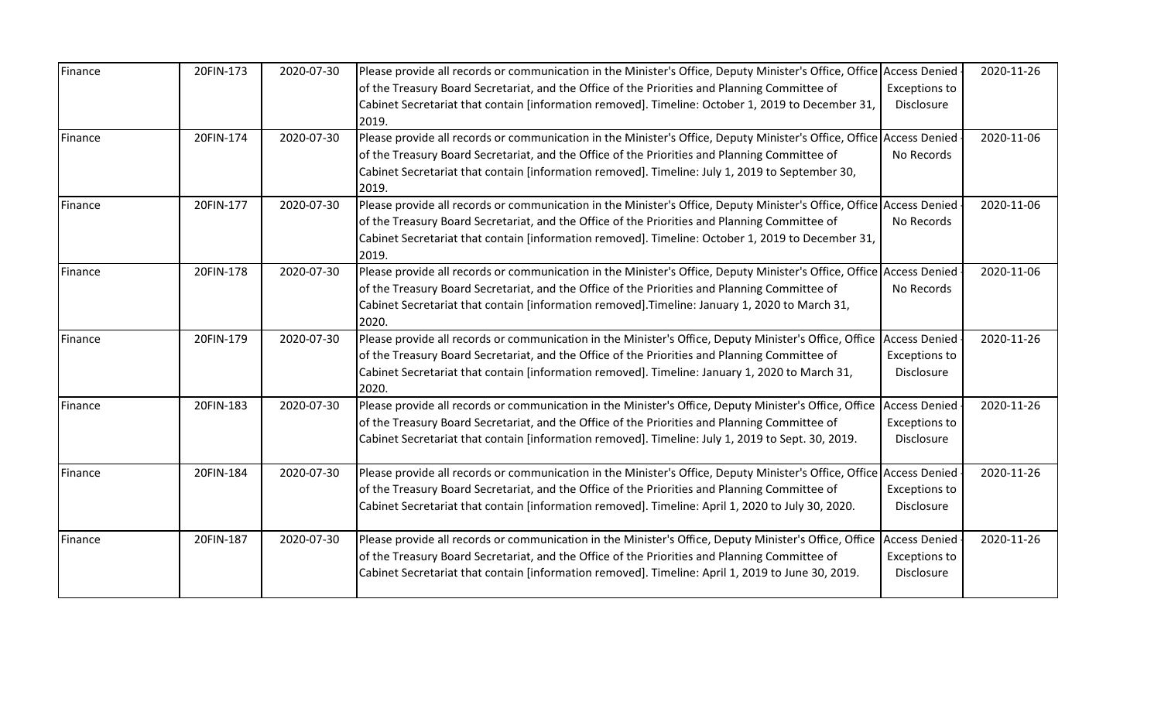| Finance | 20FIN-173 | 2020-07-30 | Please provide all records or communication in the Minister's Office, Deputy Minister's Office, Office               | <b>Access Denied</b> | 2020-11-26 |
|---------|-----------|------------|----------------------------------------------------------------------------------------------------------------------|----------------------|------------|
|         |           |            | of the Treasury Board Secretariat, and the Office of the Priorities and Planning Committee of                        | <b>Exceptions to</b> |            |
|         |           |            | Cabinet Secretariat that contain [information removed]. Timeline: October 1, 2019 to December 31,                    | Disclosure           |            |
|         |           |            | 2019.                                                                                                                |                      |            |
| Finance | 20FIN-174 | 2020-07-30 | Please provide all records or communication in the Minister's Office, Deputy Minister's Office, Office Access Denied |                      | 2020-11-06 |
|         |           |            | of the Treasury Board Secretariat, and the Office of the Priorities and Planning Committee of                        | No Records           |            |
|         |           |            | Cabinet Secretariat that contain [information removed]. Timeline: July 1, 2019 to September 30,                      |                      |            |
|         |           |            | 2019.                                                                                                                |                      |            |
| Finance | 20FIN-177 | 2020-07-30 | Please provide all records or communication in the Minister's Office, Deputy Minister's Office, Office Access Denied |                      | 2020-11-06 |
|         |           |            | of the Treasury Board Secretariat, and the Office of the Priorities and Planning Committee of                        | No Records           |            |
|         |           |            | Cabinet Secretariat that contain [information removed]. Timeline: October 1, 2019 to December 31,                    |                      |            |
|         |           |            | 2019.                                                                                                                |                      |            |
| Finance | 20FIN-178 | 2020-07-30 | Please provide all records or communication in the Minister's Office, Deputy Minister's Office, Office Access Denied |                      | 2020-11-06 |
|         |           |            | of the Treasury Board Secretariat, and the Office of the Priorities and Planning Committee of                        | No Records           |            |
|         |           |            | Cabinet Secretariat that contain [information removed]. Timeline: January 1, 2020 to March 31,                       |                      |            |
|         |           |            | 2020.                                                                                                                |                      |            |
| Finance | 20FIN-179 | 2020-07-30 | Please provide all records or communication in the Minister's Office, Deputy Minister's Office, Office               | <b>Access Denied</b> | 2020-11-26 |
|         |           |            | of the Treasury Board Secretariat, and the Office of the Priorities and Planning Committee of                        | <b>Exceptions to</b> |            |
|         |           |            | Cabinet Secretariat that contain [information removed]. Timeline: January 1, 2020 to March 31,                       | Disclosure           |            |
|         |           |            | 2020.                                                                                                                |                      |            |
| Finance | 20FIN-183 | 2020-07-30 | Please provide all records or communication in the Minister's Office, Deputy Minister's Office, Office               | <b>Access Denied</b> | 2020-11-26 |
|         |           |            | of the Treasury Board Secretariat, and the Office of the Priorities and Planning Committee of                        | <b>Exceptions to</b> |            |
|         |           |            | Cabinet Secretariat that contain [information removed]. Timeline: July 1, 2019 to Sept. 30, 2019.                    | Disclosure           |            |
| Finance | 20FIN-184 | 2020-07-30 | Please provide all records or communication in the Minister's Office, Deputy Minister's Office, Office               | <b>Access Denied</b> | 2020-11-26 |
|         |           |            | of the Treasury Board Secretariat, and the Office of the Priorities and Planning Committee of                        | <b>Exceptions to</b> |            |
|         |           |            | Cabinet Secretariat that contain [information removed]. Timeline: April 1, 2020 to July 30, 2020.                    | Disclosure           |            |
| Finance | 20FIN-187 | 2020-07-30 | Please provide all records or communication in the Minister's Office, Deputy Minister's Office, Office               | <b>Access Denied</b> | 2020-11-26 |
|         |           |            | of the Treasury Board Secretariat, and the Office of the Priorities and Planning Committee of                        | <b>Exceptions to</b> |            |
|         |           |            | Cabinet Secretariat that contain [information removed]. Timeline: April 1, 2019 to June 30, 2019.                    | Disclosure           |            |
|         |           |            |                                                                                                                      |                      |            |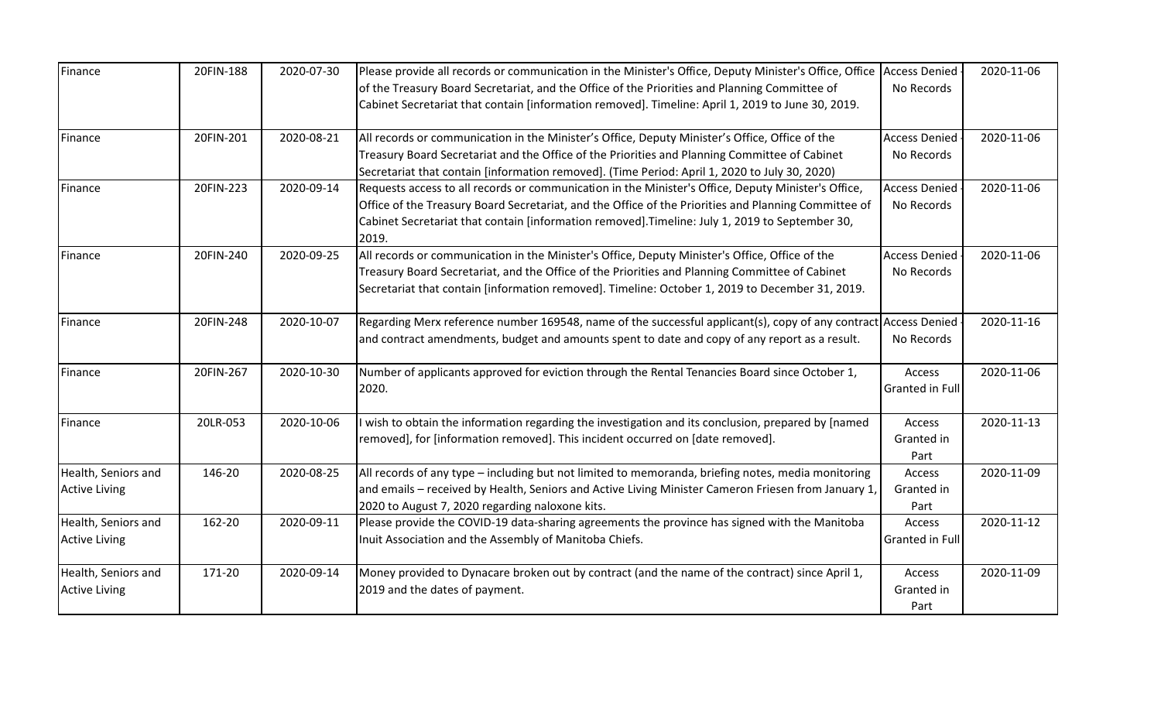| Finance              | 20FIN-188 | 2020-07-30 | Please provide all records or communication in the Minister's Office, Deputy Minister's Office, Office Access Denied |                        | 2020-11-06 |
|----------------------|-----------|------------|----------------------------------------------------------------------------------------------------------------------|------------------------|------------|
|                      |           |            | of the Treasury Board Secretariat, and the Office of the Priorities and Planning Committee of                        | No Records             |            |
|                      |           |            | Cabinet Secretariat that contain [information removed]. Timeline: April 1, 2019 to June 30, 2019.                    |                        |            |
| Finance              | 20FIN-201 | 2020-08-21 | All records or communication in the Minister's Office, Deputy Minister's Office, Office of the                       | <b>Access Denied</b>   | 2020-11-06 |
|                      |           |            | Treasury Board Secretariat and the Office of the Priorities and Planning Committee of Cabinet                        | No Records             |            |
|                      |           |            | Secretariat that contain [information removed]. (Time Period: April 1, 2020 to July 30, 2020)                        |                        |            |
| Finance              | 20FIN-223 | 2020-09-14 | Requests access to all records or communication in the Minister's Office, Deputy Minister's Office,                  | <b>Access Denied</b>   | 2020-11-06 |
|                      |           |            | Office of the Treasury Board Secretariat, and the Office of the Priorities and Planning Committee of                 | No Records             |            |
|                      |           |            | Cabinet Secretariat that contain [information removed]. Timeline: July 1, 2019 to September 30,                      |                        |            |
|                      |           |            | 2019.                                                                                                                |                        |            |
| Finance              | 20FIN-240 | 2020-09-25 | All records or communication in the Minister's Office, Deputy Minister's Office, Office of the                       | <b>Access Denied</b>   | 2020-11-06 |
|                      |           |            | Treasury Board Secretariat, and the Office of the Priorities and Planning Committee of Cabinet                       | No Records             |            |
|                      |           |            | Secretariat that contain [information removed]. Timeline: October 1, 2019 to December 31, 2019.                      |                        |            |
| Finance              | 20FIN-248 | 2020-10-07 | Regarding Merx reference number 169548, name of the successful applicant(s), copy of any contract Access Denied      |                        | 2020-11-16 |
|                      |           |            | and contract amendments, budget and amounts spent to date and copy of any report as a result.                        | No Records             |            |
| Finance              | 20FIN-267 | 2020-10-30 | Number of applicants approved for eviction through the Rental Tenancies Board since October 1,                       | Access                 | 2020-11-06 |
|                      |           |            | 2020.                                                                                                                | <b>Granted in Full</b> |            |
| Finance              | 20LR-053  | 2020-10-06 | I wish to obtain the information regarding the investigation and its conclusion, prepared by [named                  | Access                 | 2020-11-13 |
|                      |           |            | removed], for [information removed]. This incident occurred on [date removed].                                       | Granted in             |            |
|                      |           |            |                                                                                                                      | Part                   |            |
| Health, Seniors and  | 146-20    | 2020-08-25 | All records of any type – including but not limited to memoranda, briefing notes, media monitoring                   | Access                 | 2020-11-09 |
| <b>Active Living</b> |           |            | and emails - received by Health, Seniors and Active Living Minister Cameron Friesen from January 1,                  | Granted in             |            |
|                      |           |            | 2020 to August 7, 2020 regarding naloxone kits.                                                                      | Part                   |            |
| Health, Seniors and  | 162-20    | 2020-09-11 | Please provide the COVID-19 data-sharing agreements the province has signed with the Manitoba                        | Access                 | 2020-11-12 |
| <b>Active Living</b> |           |            | Inuit Association and the Assembly of Manitoba Chiefs.                                                               | <b>Granted in Full</b> |            |
| Health, Seniors and  | 171-20    | 2020-09-14 | Money provided to Dynacare broken out by contract (and the name of the contract) since April 1,                      | Access                 | 2020-11-09 |
| <b>Active Living</b> |           |            | 2019 and the dates of payment.                                                                                       | Granted in             |            |
|                      |           |            |                                                                                                                      | Part                   |            |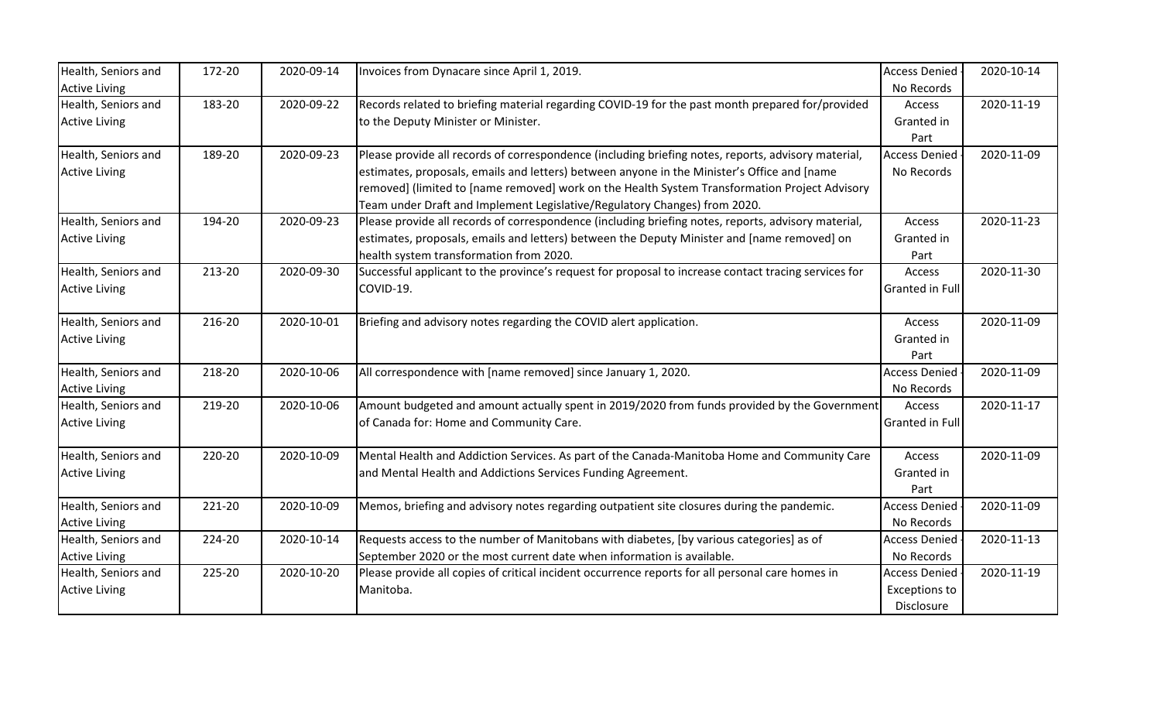| Health, Seniors and  | 172-20 | 2020-09-14 | Invoices from Dynacare since April 1, 2019.                                                          | <b>Access Denied</b> | 2020-10-14 |
|----------------------|--------|------------|------------------------------------------------------------------------------------------------------|----------------------|------------|
| <b>Active Living</b> |        |            |                                                                                                      | No Records           |            |
| Health, Seniors and  | 183-20 | 2020-09-22 | Records related to briefing material regarding COVID-19 for the past month prepared for/provided     | Access               | 2020-11-19 |
| <b>Active Living</b> |        |            | to the Deputy Minister or Minister.                                                                  | Granted in           |            |
|                      |        |            |                                                                                                      | Part                 |            |
| Health, Seniors and  | 189-20 | 2020-09-23 | Please provide all records of correspondence (including briefing notes, reports, advisory material,  | <b>Access Denied</b> | 2020-11-09 |
| <b>Active Living</b> |        |            | estimates, proposals, emails and letters) between anyone in the Minister's Office and [name          | No Records           |            |
|                      |        |            | removed] (limited to [name removed] work on the Health System Transformation Project Advisory        |                      |            |
|                      |        |            | Team under Draft and Implement Legislative/Regulatory Changes) from 2020.                            |                      |            |
| Health, Seniors and  | 194-20 | 2020-09-23 | Please provide all records of correspondence (including briefing notes, reports, advisory material,  | Access               | 2020-11-23 |
| <b>Active Living</b> |        |            | estimates, proposals, emails and letters) between the Deputy Minister and [name removed] on          | Granted in           |            |
|                      |        |            | health system transformation from 2020.                                                              | Part                 |            |
| Health, Seniors and  | 213-20 | 2020-09-30 | Successful applicant to the province's request for proposal to increase contact tracing services for | Access               | 2020-11-30 |
| <b>Active Living</b> |        |            | COVID-19.                                                                                            | Granted in Full      |            |
| Health, Seniors and  | 216-20 | 2020-10-01 | Briefing and advisory notes regarding the COVID alert application.                                   | Access               | 2020-11-09 |
| <b>Active Living</b> |        |            |                                                                                                      | Granted in           |            |
|                      |        |            |                                                                                                      | Part                 |            |
| Health, Seniors and  | 218-20 | 2020-10-06 | All correspondence with [name removed] since January 1, 2020.                                        | <b>Access Denied</b> | 2020-11-09 |
| <b>Active Living</b> |        |            |                                                                                                      | No Records           |            |
| Health, Seniors and  | 219-20 | 2020-10-06 | Amount budgeted and amount actually spent in 2019/2020 from funds provided by the Government         | Access               | 2020-11-17 |
| <b>Active Living</b> |        |            | of Canada for: Home and Community Care.                                                              | Granted in Full      |            |
| Health, Seniors and  | 220-20 | 2020-10-09 | Mental Health and Addiction Services. As part of the Canada-Manitoba Home and Community Care         | Access               | 2020-11-09 |
| <b>Active Living</b> |        |            | and Mental Health and Addictions Services Funding Agreement.                                         | Granted in           |            |
|                      |        |            |                                                                                                      | Part                 |            |
| Health, Seniors and  | 221-20 | 2020-10-09 | Memos, briefing and advisory notes regarding outpatient site closures during the pandemic.           | <b>Access Denied</b> | 2020-11-09 |
| <b>Active Living</b> |        |            |                                                                                                      | No Records           |            |
| Health, Seniors and  | 224-20 | 2020-10-14 | Requests access to the number of Manitobans with diabetes, [by various categories] as of             | <b>Access Denied</b> | 2020-11-13 |
| <b>Active Living</b> |        |            | September 2020 or the most current date when information is available.                               | No Records           |            |
| Health, Seniors and  | 225-20 | 2020-10-20 | Please provide all copies of critical incident occurrence reports for all personal care homes in     | <b>Access Denied</b> | 2020-11-19 |
| <b>Active Living</b> |        |            | Manitoba.                                                                                            | <b>Exceptions to</b> |            |
|                      |        |            |                                                                                                      | Disclosure           |            |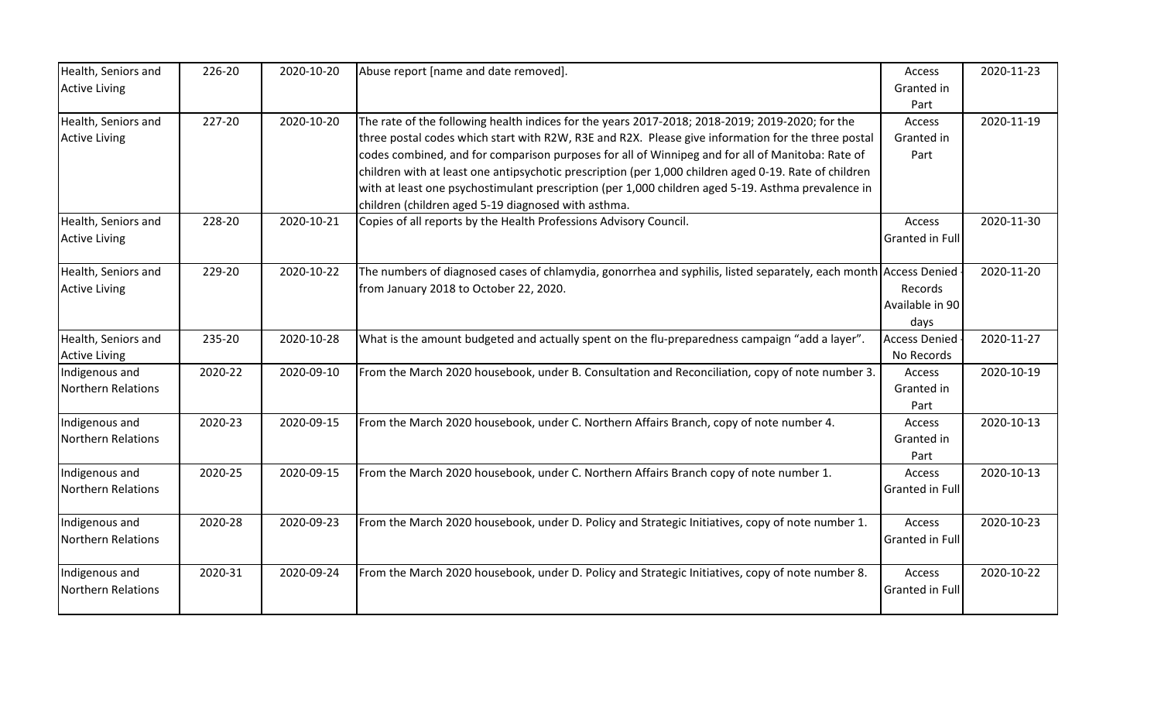| Health, Seniors and       | 226-20  | 2020-10-20 | Abuse report [name and date removed].                                                                            | Access                 | 2020-11-23 |
|---------------------------|---------|------------|------------------------------------------------------------------------------------------------------------------|------------------------|------------|
| <b>Active Living</b>      |         |            |                                                                                                                  | Granted in             |            |
|                           |         |            |                                                                                                                  | Part                   |            |
| Health, Seniors and       | 227-20  | 2020-10-20 | The rate of the following health indices for the years 2017-2018; 2018-2019; 2019-2020; for the                  | Access                 | 2020-11-19 |
| <b>Active Living</b>      |         |            | three postal codes which start with R2W, R3E and R2X. Please give information for the three postal               | Granted in             |            |
|                           |         |            | codes combined, and for comparison purposes for all of Winnipeg and for all of Manitoba: Rate of                 | Part                   |            |
|                           |         |            | children with at least one antipsychotic prescription (per 1,000 children aged 0-19. Rate of children            |                        |            |
|                           |         |            | with at least one psychostimulant prescription (per 1,000 children aged 5-19. Asthma prevalence in               |                        |            |
|                           |         |            | children (children aged 5-19 diagnosed with asthma.                                                              |                        |            |
| Health, Seniors and       | 228-20  | 2020-10-21 | Copies of all reports by the Health Professions Advisory Council.                                                | Access                 | 2020-11-30 |
| <b>Active Living</b>      |         |            |                                                                                                                  | Granted in Full        |            |
|                           |         |            |                                                                                                                  |                        |            |
| Health, Seniors and       | 229-20  | 2020-10-22 | The numbers of diagnosed cases of chlamydia, gonorrhea and syphilis, listed separately, each month Access Denied |                        | 2020-11-20 |
| <b>Active Living</b>      |         |            | from January 2018 to October 22, 2020.                                                                           | Records                |            |
|                           |         |            |                                                                                                                  | Available in 90        |            |
|                           |         |            |                                                                                                                  | days                   |            |
| Health, Seniors and       | 235-20  | 2020-10-28 | What is the amount budgeted and actually spent on the flu-preparedness campaign "add a layer".                   | <b>Access Denied</b>   | 2020-11-27 |
| <b>Active Living</b>      |         |            |                                                                                                                  | No Records             |            |
| Indigenous and            | 2020-22 | 2020-09-10 | From the March 2020 housebook, under B. Consultation and Reconciliation, copy of note number 3.                  | Access                 | 2020-10-19 |
| <b>Northern Relations</b> |         |            |                                                                                                                  | Granted in             |            |
|                           |         |            |                                                                                                                  | Part                   |            |
| Indigenous and            | 2020-23 | 2020-09-15 | From the March 2020 housebook, under C. Northern Affairs Branch, copy of note number 4.                          | Access                 | 2020-10-13 |
| <b>Northern Relations</b> |         |            |                                                                                                                  | Granted in             |            |
|                           |         |            |                                                                                                                  | Part                   |            |
| Indigenous and            | 2020-25 | 2020-09-15 | From the March 2020 housebook, under C. Northern Affairs Branch copy of note number 1.                           | Access                 | 2020-10-13 |
| Northern Relations        |         |            |                                                                                                                  | Granted in Full        |            |
|                           |         |            |                                                                                                                  |                        |            |
| Indigenous and            | 2020-28 | 2020-09-23 | From the March 2020 housebook, under D. Policy and Strategic Initiatives, copy of note number 1.                 | Access                 | 2020-10-23 |
| Northern Relations        |         |            |                                                                                                                  | <b>Granted in Full</b> |            |
|                           |         |            |                                                                                                                  |                        |            |
| Indigenous and            | 2020-31 | 2020-09-24 | From the March 2020 housebook, under D. Policy and Strategic Initiatives, copy of note number 8.                 | Access                 | 2020-10-22 |
| <b>Northern Relations</b> |         |            |                                                                                                                  | Granted in Full        |            |
|                           |         |            |                                                                                                                  |                        |            |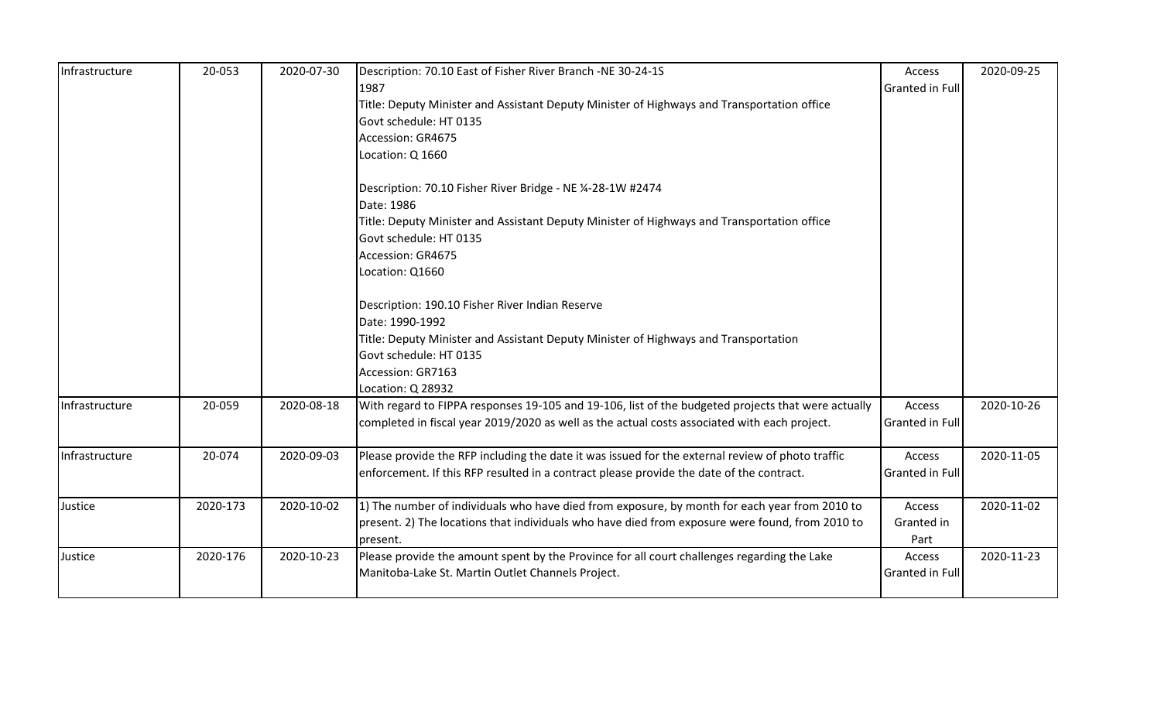| Infrastructure | 20-053   | 2020-07-30 | Description: 70.10 East of Fisher River Branch -NE 30-24-1S                                        | Access                 | 2020-09-25 |
|----------------|----------|------------|----------------------------------------------------------------------------------------------------|------------------------|------------|
|                |          |            | 1987                                                                                               | <b>Granted in Full</b> |            |
|                |          |            | Title: Deputy Minister and Assistant Deputy Minister of Highways and Transportation office         |                        |            |
|                |          |            | Govt schedule: HT 0135                                                                             |                        |            |
|                |          |            | Accession: GR4675                                                                                  |                        |            |
|                |          |            | Location: Q 1660                                                                                   |                        |            |
|                |          |            | Description: 70.10 Fisher River Bridge - NE 1⁄4-28-1W #2474                                        |                        |            |
|                |          |            | Date: 1986                                                                                         |                        |            |
|                |          |            | Title: Deputy Minister and Assistant Deputy Minister of Highways and Transportation office         |                        |            |
|                |          |            | Govt schedule: HT 0135                                                                             |                        |            |
|                |          |            | Accession: GR4675                                                                                  |                        |            |
|                |          |            | Location: Q1660                                                                                    |                        |            |
|                |          |            | Description: 190.10 Fisher River Indian Reserve                                                    |                        |            |
|                |          |            | Date: 1990-1992                                                                                    |                        |            |
|                |          |            | Title: Deputy Minister and Assistant Deputy Minister of Highways and Transportation                |                        |            |
|                |          |            | Govt schedule: HT 0135                                                                             |                        |            |
|                |          |            | Accession: GR7163                                                                                  |                        |            |
|                |          |            | Location: Q 28932                                                                                  |                        |            |
| Infrastructure | 20-059   | 2020-08-18 | With regard to FIPPA responses 19-105 and 19-106, list of the budgeted projects that were actually | Access                 | 2020-10-26 |
|                |          |            | completed in fiscal year 2019/2020 as well as the actual costs associated with each project.       | <b>Granted in Full</b> |            |
| Infrastructure | 20-074   | 2020-09-03 | Please provide the RFP including the date it was issued for the external review of photo traffic   | Access                 | 2020-11-05 |
|                |          |            | enforcement. If this RFP resulted in a contract please provide the date of the contract.           | <b>Granted in Full</b> |            |
| Justice        | 2020-173 | 2020-10-02 | 1) The number of individuals who have died from exposure, by month for each year from 2010 to      | Access                 | 2020-11-02 |
|                |          |            | present. 2) The locations that individuals who have died from exposure were found, from 2010 to    | Granted in             |            |
|                |          |            | present.                                                                                           | Part                   |            |
| Justice        | 2020-176 | 2020-10-23 | Please provide the amount spent by the Province for all court challenges regarding the Lake        | Access                 | 2020-11-23 |
|                |          |            | Manitoba-Lake St. Martin Outlet Channels Project.                                                  | <b>Granted in Full</b> |            |
|                |          |            |                                                                                                    |                        |            |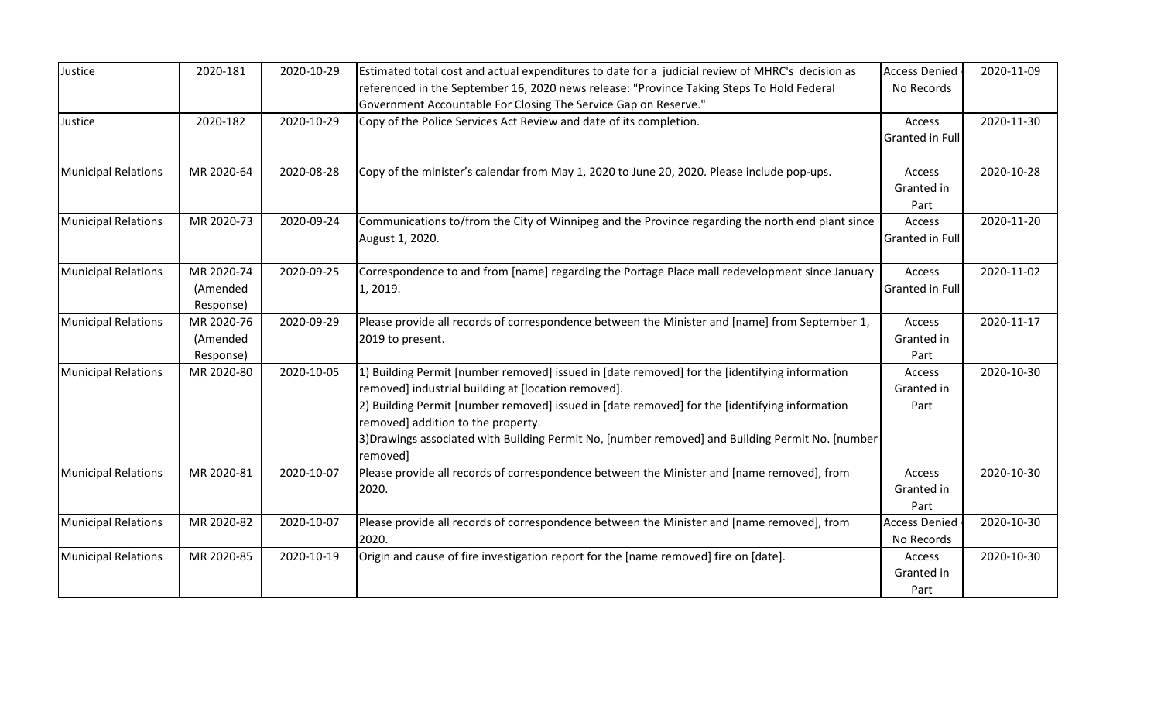| Justice                    | 2020-181   | 2020-10-29 | Estimated total cost and actual expenditures to date for a judicial review of MHRC's decision as             | <b>Access Denied</b> | 2020-11-09 |
|----------------------------|------------|------------|--------------------------------------------------------------------------------------------------------------|----------------------|------------|
|                            |            |            | referenced in the September 16, 2020 news release: "Province Taking Steps To Hold Federal                    | No Records           |            |
|                            |            |            | Government Accountable For Closing The Service Gap on Reserve."                                              |                      |            |
| Justice                    | 2020-182   | 2020-10-29 | Copy of the Police Services Act Review and date of its completion.                                           | Access               | 2020-11-30 |
|                            |            |            |                                                                                                              | Granted in Full      |            |
| <b>Municipal Relations</b> | MR 2020-64 | 2020-08-28 | Copy of the minister's calendar from May 1, 2020 to June 20, 2020. Please include pop-ups.                   | Access               | 2020-10-28 |
|                            |            |            |                                                                                                              | Granted in           |            |
|                            |            |            |                                                                                                              | Part                 |            |
| <b>Municipal Relations</b> | MR 2020-73 | 2020-09-24 | Communications to/from the City of Winnipeg and the Province regarding the north end plant since             | Access               | 2020-11-20 |
|                            |            |            | August 1, 2020.                                                                                              | Granted in Full      |            |
| <b>Municipal Relations</b> | MR 2020-74 | 2020-09-25 | Correspondence to and from [name] regarding the Portage Place mall redevelopment since January               | Access               | 2020-11-02 |
|                            | (Amended   |            | 1, 2019.                                                                                                     | Granted in Full      |            |
|                            | Response)  |            |                                                                                                              |                      |            |
| <b>Municipal Relations</b> | MR 2020-76 | 2020-09-29 | Please provide all records of correspondence between the Minister and [name] from September 1,               | Access               | 2020-11-17 |
|                            | (Amended   |            | 2019 to present.                                                                                             | Granted in           |            |
|                            | Response)  |            |                                                                                                              | Part                 |            |
| <b>Municipal Relations</b> | MR 2020-80 | 2020-10-05 | 1) Building Permit [number removed] issued in [date removed] for the [identifying information                | Access               | 2020-10-30 |
|                            |            |            | removed] industrial building at [location removed].                                                          | Granted in           |            |
|                            |            |            | 2) Building Permit [number removed] issued in [date removed] for the [identifying information                | Part                 |            |
|                            |            |            | removed] addition to the property.                                                                           |                      |            |
|                            |            |            | 3) Drawings associated with Building Permit No, [number removed] and Building Permit No. [number<br>removed] |                      |            |
| <b>Municipal Relations</b> | MR 2020-81 | 2020-10-07 | Please provide all records of correspondence between the Minister and [name removed], from                   | Access               | 2020-10-30 |
|                            |            |            | 2020.                                                                                                        | Granted in           |            |
|                            |            |            |                                                                                                              | Part                 |            |
| <b>Municipal Relations</b> | MR 2020-82 | 2020-10-07 | Please provide all records of correspondence between the Minister and [name removed], from                   | <b>Access Denied</b> | 2020-10-30 |
|                            |            |            | 2020.                                                                                                        | No Records           |            |
| <b>Municipal Relations</b> | MR 2020-85 | 2020-10-19 | Origin and cause of fire investigation report for the [name removed] fire on [date].                         | Access               | 2020-10-30 |
|                            |            |            |                                                                                                              | Granted in           |            |
|                            |            |            |                                                                                                              | Part                 |            |